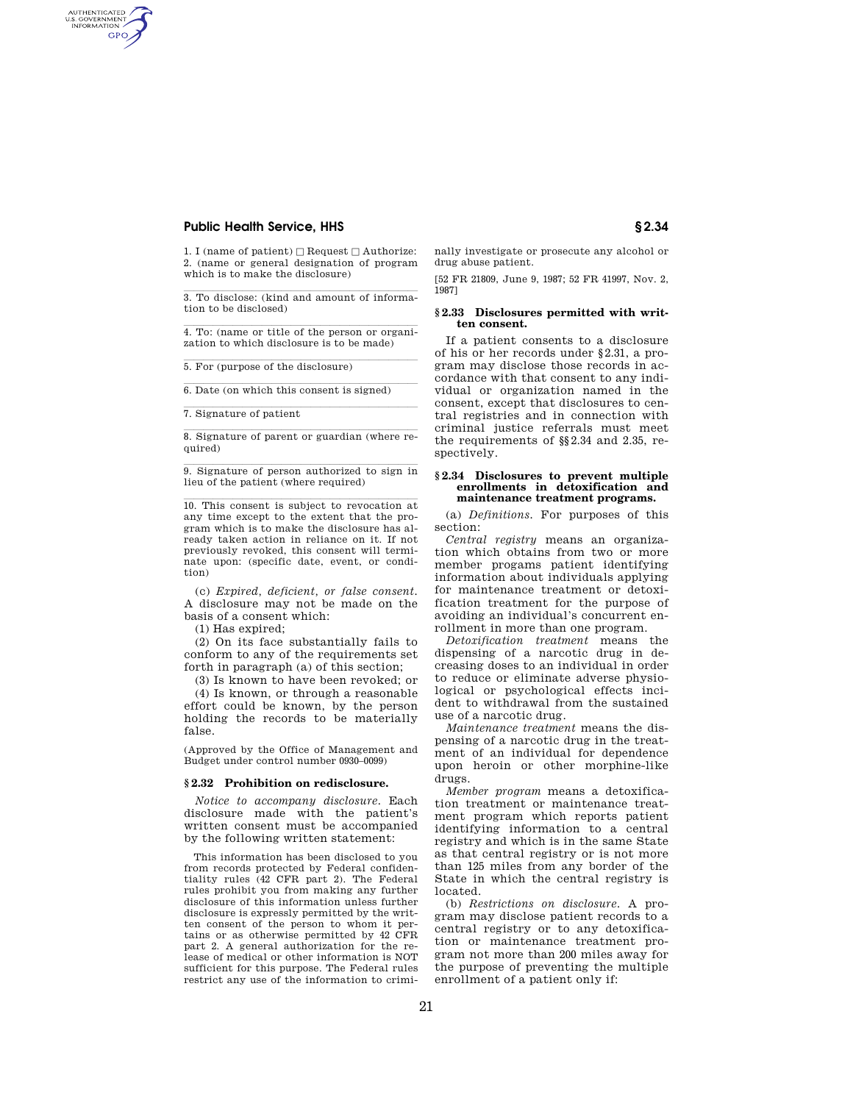# **Public Health Service, HHS § 2.34**

AUTHENTICATED<br>U.S. GOVERNMENT<br>INFORMATION **GPO** 

> 1. I (name of patient)  $\Box$  Request  $\Box$  Authorize: 2. (name or general designation of program which is to make the disclosure)

3. To disclose: (kind and amount of information to be disclosed)

 $\overline{4}$ . To: (name or title of the person or organization to which disclosure is to be made)

 $\overline{5. For (purpose of the disclosure)}$ 

 $\overline{6.$  Date (on which this consent is signed)

7. Signature of patient

8. Signature of parent or guardian (where required)

 $\overline{9}$ . Signature of person authorized to sign in lieu of the patient (where required)

 $10$ . This consent is subject to revocation at any time except to the extent that the program which is to make the disclosure has already taken action in reliance on it. If not previously revoked, this consent will terminate upon: (specific date, event, or condition)

(c) *Expired, deficient, or false consent.*  A disclosure may not be made on the basis of a consent which:

(1) Has expired;

(2) On its face substantially fails to conform to any of the requirements set forth in paragraph (a) of this section;

(3) Is known to have been revoked; or (4) Is known, or through a reasonable effort could be known, by the person holding the records to be materially false.

(Approved by the Office of Management and Budget under control number 0930–0099)

#### **§ 2.32 Prohibition on redisclosure.**

*Notice to accompany disclosure.* Each disclosure made with the patient's written consent must be accompanied by the following written statement:

This information has been disclosed to you from records protected by Federal confidentiality rules (42 CFR part 2). The Federal rules prohibit you from making any further disclosure of this information unless further disclosure is expressly permitted by the written consent of the person to whom it pertains or as otherwise permitted by 42 CFR part 2. A general authorization for the release of medical or other information is NOT sufficient for this purpose. The Federal rules restrict any use of the information to crimi-

nally investigate or prosecute any alcohol or drug abuse patient.

[52 FR 21809, June 9, 1987; 52 FR 41997, Nov. 2, 1987]

## **§ 2.33 Disclosures permitted with written consent.**

If a patient consents to a disclosure of his or her records under §2.31, a program may disclose those records in accordance with that consent to any individual or organization named in the consent, except that disclosures to central registries and in connection with criminal justice referrals must meet the requirements of §§2.34 and 2.35, respectively.

## **§ 2.34 Disclosures to prevent multiple enrollments in detoxification and maintenance treatment programs.**

(a) *Definitions.* For purposes of this section:

*Central registry* means an organization which obtains from two or more member progams patient identifying information about individuals applying for maintenance treatment or detoxification treatment for the purpose of avoiding an individual's concurrent enrollment in more than one program.

*Detoxification treatment* means the dispensing of a narcotic drug in decreasing doses to an individual in order to reduce or eliminate adverse physiological or psychological effects incident to withdrawal from the sustained use of a narcotic drug.

*Maintenance treatment* means the dispensing of a narcotic drug in the treatment of an individual for dependence upon heroin or other morphine-like drugs.

*Member program* means a detoxification treatment or maintenance treatment program which reports patient identifying information to a central registry and which is in the same State as that central registry or is not more than 125 miles from any border of the State in which the central registry is located.

(b) *Restrictions on disclosure.* A program may disclose patient records to a central registry or to any detoxification or maintenance treatment program not more than 200 miles away for the purpose of preventing the multiple enrollment of a patient only if: